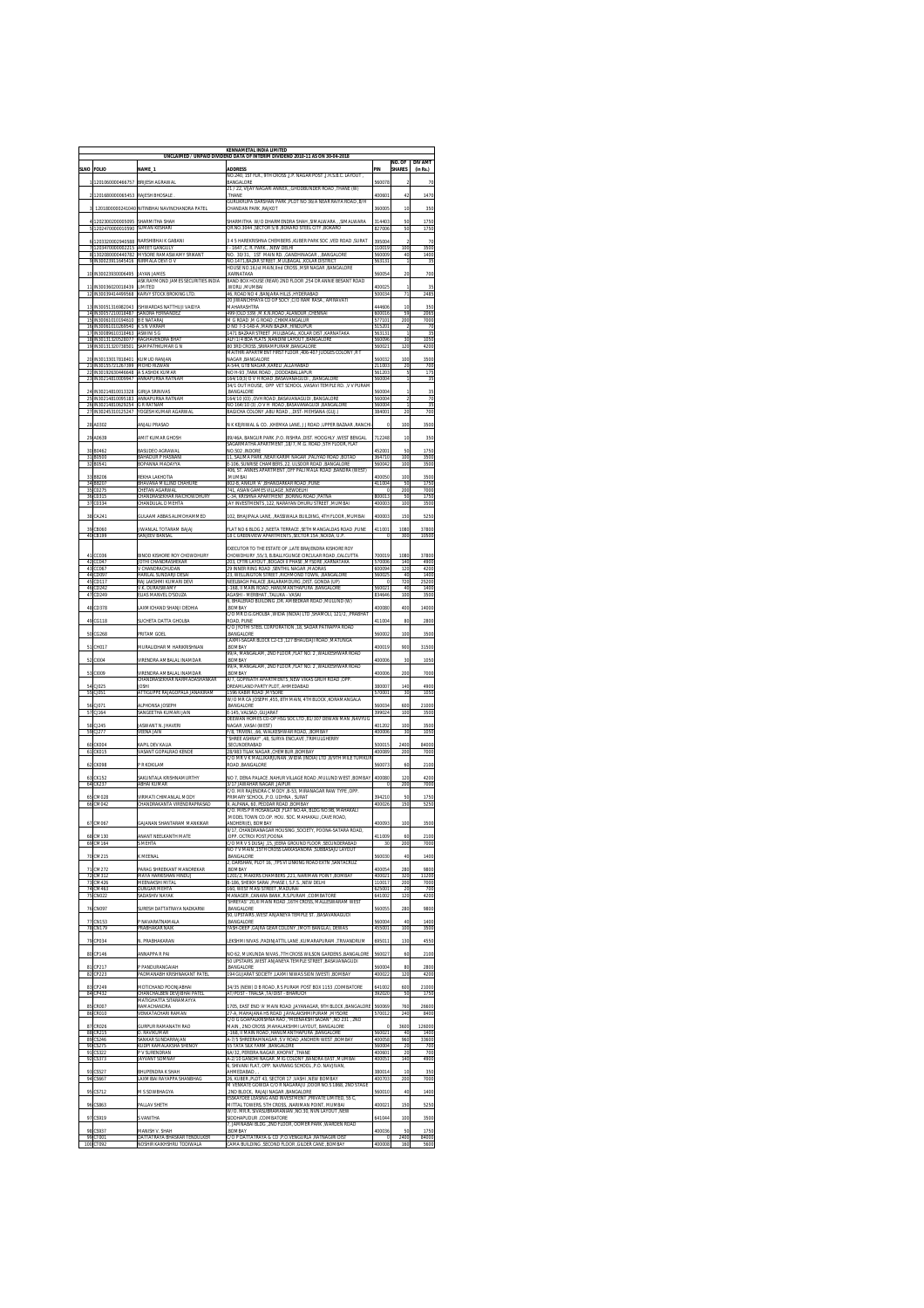|                       |                                                                  |                                                                          | <b>KENNAMETAL INDIA LIMITED</b><br>UNCLAIMED / UNPAID DIVIDEND DATA OF INTERIM DIVIDEND 2010-11 AS ON 30-04-201 |                  |                        |                            |
|-----------------------|------------------------------------------------------------------|--------------------------------------------------------------------------|-----------------------------------------------------------------------------------------------------------------|------------------|------------------------|----------------------------|
| <b>SLNO</b>           | <b>FOLIO</b>                                                     | NAME_1                                                                   | <b>ADDRESS</b>                                                                                                  | PIN              | NO OF<br><b>SHARFS</b> | <b>DIV AMT</b><br>(in Rs.) |
|                       |                                                                  |                                                                          | , NO.240, 1ST FLR., 9TH CROSS ,J.P. NAGAR POST ,J.H.S.B.C. LAYOUT                                               |                  |                        |                            |
|                       | 1201060000466757                                                 | BRIJESH AGRAWA                                                           | <b>BANGALORE</b><br>21 / 22, VIJAY NAGARI ANNEX, , GHODBUNDER ROAD , THANE (W)                                  | 560078           |                        | 70                         |
|                       | 1201680000065453                                                 | RAJESH BHOSALE                                                           | THANE<br>GURUKRUPA DARSHAN PARK. PLOT NO 36/A NEAR RAIYA ROAD. R/H                                              | 40060            | 42                     | 1470                       |
|                       |                                                                  | 1201800000241040 NITINBHAI NAVINCHANDRA PATEI                            | CHANDAN PARK, RAJKOT                                                                                            | 360005           | 10                     | 350                        |
|                       | 1202300200005095                                                 | HARMITHA SHAH                                                            | SHARMITHA W/O DHARMENDRA SHAH ,SIMALWARA , ,SIMALWARA                                                           | 314403           | 50                     | 1750                       |
| 5                     | 1202470000010590                                                 | SLIMAN KESHARI                                                           | OR NO.3044 , SECTOR 5/B , BOKARO STEEL CITY , BOKARO                                                            | 827006           | 50                     | 1750                       |
|                       | 1203320002940588<br>1203470000002215 AMEET GANGULY               | NARSHIRHAI K GARANI                                                      | 3 4 5 HAREKRISHNA CHEMBERS , KUBER PARK SOC , VED ROAD , SURAT<br>- 1647, C. R. PARK, , NEW DELHI               | 39500<br>110019  | 100                    | 70<br>3500                 |
| 8                     | 1302080000440782<br>N30023911645416                              | MYSORE RAMASWAMY SRIKANT<br>VIRMALA DEVI O V                             | NO. 30/31, 1ST MAIN RD. , GANDHINAGAR , , BANGALORE<br>NO.1471.BAZAR STREET .MULBAGAL .KOLAR DISTRICT           | 560009           | 40                     | 1400<br>35                 |
|                       |                                                                  |                                                                          | HOUSE NO.16.Ist MAIN.IInd CROSS .MSR NAGAR .BANGALORE                                                           |                  |                        |                            |
| 10                    | IN30023930006495                                                 | <b>JAYAN JAMES</b><br>ASK RAYMOND JAMES SECURITIES INDIA                 | KARNATAKA<br>BAND BOX HOUSE (REAR) 2ND FLOOR ,254 DR ANNIE BESANT ROAD                                          | 560054           | 20                     | 700                        |
| $\overline{11}$<br>12 | IN30036020018439<br>N30039414499568                              | LIMITED<br><b>CARVY ST</b><br>DCK BROKING LTE                            | WORLI, MUMBAI<br>16, ROAD NO 4, BANJARA HILLS, HYDERABAD                                                        | 400025<br>500034 | 71                     | 35<br>2485                 |
| 13                    | IN30051316982043                                                 | <b>ISHWARDAS NATTHUJI VAIDYA</b>                                         | 20 JIWANCHHAYA CO OP SOCY, C/O RAM RASA, AMRAVATI<br>MAHARASHTRA                                                | 144604           | 10                     | 350                        |
| 14                    | IN30057210018487                                                 | SANDRA FERNANDEZ                                                         | IANDUR, CHENNAIR, CADS J.M.K.N.ROAD, ALANDUR, CHENNAI                                                           | 600016           | 55                     | 2065                       |
| 15<br>16              | IN30061010194610<br>N30061010269540                              | R F NATARAI<br>S N VIKRAM                                                | M G ROAD , M G ROAD , CHIKMANGALUR<br>NO 7-3-148-A ,MAIN BAZAR ,HINDUPUR                                        | 577101<br>515201 | 200                    | 7000<br>70                 |
| 17<br>18              | IN30089610318463 ASWINI S G<br>IN30131320528077 RAGHAVENDRA BHAT |                                                                          | 1471 BAZAAR STREET ,MULBAGAL ,KOLAR DIST ,KARNATAKA<br>ALF/1/4 BDA FLATS .NANDINI LAYOUT .BANGALORE             | 563131<br>560096 | f,<br>30               | 35<br>1050                 |
| 19                    | IN30131320738501                                                 | SAMPATHKUMAR G N                                                         | 80 3RD CROSS ,SRIRAMPURAM,BANGALORE                                                                             | 56002            | 120                    | 4200                       |
| 20                    | IN30133017818401                                                 | KUMUD RANJAN                                                             | MAITHRI APARTMENT FIRST FLOOR, 406-407 JUDGES COLONY, R T<br>NAGAR , BANGALORE                                  | 56003            | 100                    | 3500                       |
| 77                    | 21 IN30155721267399<br>IN30192630446648 A S ASHOK KUMAR          | MOHD RIZWAN                                                              | <b>A-544 GTR NAGAR KARELL ALLAHARAD</b><br>NO H-93 .TANK ROAD . DODDABALLAPUR                                   | 211003<br>561203 | 20<br>Ŧ                | 700<br>175                 |
| 23                    | IN30214810009947                                                 | ANNAPURNA RATNAM                                                         | 164/10(3) O V H ROAD .BASAVANAGUDIBANGALORE<br>34/1 OUT HOUSE, OPP VET SCHOOL , VASAVI TEMPLE RD. , V V PURAM   | 56000            | 1                      | 35                         |
| 2 <sup>i</sup><br>25  | N30214810013328<br>IN30214810095183                              | <b>SIRIJA SRINIVAS</b><br>ANNAPURNA RATNAM                               | BANGALORE                                                                                                       | 6000<br>560004   | t                      | 35                         |
| 76                    | IN30214810629254                                                 | <b>GRRATNAM</b>                                                          | 164/10 (03) ,OVH ROAD ,BASAVANAGUDI ,BANGALORE<br>NO 164/10 (3) O V H ROAD BASAVANAGUDI BANGALOR                | 560004           | f,                     | 70<br>35                   |
| 27                    | IN30245310125247                                                 | YOGESH KUMAR AGARWA                                                      | BAGICHA COLONY .ABU ROAD DIST - MEHSANA (GUJ.)                                                                  | 384001           | 20                     | 700                        |
| 28                    | A0302                                                            | ANJALI PRASAD                                                            | N K KEJRIWAL & CO. ,KHEMKA LANE, JJ ROAD ,UPPER BAZAAR ,RANCH                                                   | d                | 100                    | 3500                       |
| 29                    | A0639                                                            | AMIT KUMAR GHOSH                                                         | 39/46A. BANGUR PARK , P.O. RISHRA ,DIST. HOOGHLY , WEST BENGAL                                                  | 712248           | 10                     | 350                        |
| 30                    | B0462                                                            | BASUDEO AGRAWAL                                                          | SAGARMATHA APARTMENT .18/7. M.G. ROAD .5TH FLOOR. FLAT<br>VO.502 INDORE                                         | 45200            | 50                     | 1750                       |
| 31<br>32              | B0500<br>30541                                                   | BAHADUR P HASNANI<br>SOPANNA MADAYYA                                     | 11, SALIMA PARK ,NEAR KARIM NAGAR ,PALIYAD ROAD ,BOTAE<br>E-106, SUNRISE CHAMBERS ,22, ULSOOR ROAD ,BANGALORE   | 364710<br>560042 | 100<br>100             | 3500<br>3500               |
| 33                    | <b>BB206</b>                                                     | <b>EEKHA LAKHOTIA</b>                                                    | 406, ST. ANNES APARTMENT , OFF PALI MALA ROAD , BANDRA (WEST)<br>MUMBAI                                         | 400050           | 100                    | 3500                       |
| $\overline{3}$<br>35  | BB207                                                            | SHAVANA MILLIND CHAHUR                                                   | 802-B, ANKUR 'A' ,BHANDARKAR ROAD ,PUN<br>741, ASIAN GAMES VILLAGE , NEWDELHI                                   | 41100            | 50                     | 1750                       |
| 36                    | CO275<br>10315                                                   | <b>CHETAN AGARWAL</b><br><b>HANDRASEKHAR RAICHOWDHUR!</b>                | -34, KRISHNA APARTMENT , BORING ROAD , PATNA                                                                    | C<br>B0001)      | 200<br>50              | 7000<br>1750               |
| 37                    | 0334                                                             | <b>HANDULAL D MEHTA</b>                                                  | JAY INVESTMENTS .122. NARAYAN DHURU STREET .MUMBA                                                               | 40000            | 100                    | 3500                       |
| 38                    | CA241                                                            | <b>SULAAM ABBAS ALIMOHAMMED</b>                                          | 102, BHAIIPALA LANE, ,RASSIWALA BUILDING, 4TH FLOOR ,MUMBAI                                                     | 400003           | 150                    | 5250                       |
| 39<br>40              | CB060                                                            | IWANLAL TOTARAM BAJAJ                                                    | LAT NO 6 BLDG 2 , NEETA TERRACE , SETH MANGALDAS ROAD , PUNE                                                    | 411001           | 1080<br>300            | 37800                      |
|                       | CB199                                                            | <b>SANJEEV BANSAL</b>                                                    | 18 C GREENVIEW APARTMENTS , SECTOR 15A , NOIDA, U.P                                                             | O                |                        | 10500                      |
| 41                    | CC036                                                            | BINOD KISHORE ROY CHOWDHURY                                              | EXECUTOR TO THE ESTATE OF .LATE BRAJENDRA KISHORE ROY<br>CHOWDHURY ,55/3, B.BALLYGUNGE CIRCULAR ROAD ,CALCUTTA  | 700019           | 1080                   | 37800                      |
| 42<br>43              | 00047<br>0067                                                    | IOTHI CHANDRASHEKAR<br>/ CHANDRACHLIDAN                                  | 203, CFTRI LAYOUT ,BOGADI II PHASE ,MYSORE ,KARNATAKA<br>29 INNER RING ROAD .SENTHIL NAGAR .MADRAS              | 570006<br>600094 | 140<br>120             | 4900<br>4200               |
| 44                    | CDO97                                                            | HARILAL SUNDARILDESAL                                                    | 23, WELLINGTON STREET ,RICHMOND TOWN, ,BANGALORE                                                                | 560025           | 40                     | 1400                       |
| 45<br>46              | CD117<br>CD242                                                   | RATTAKSHMI KUMARI DEVI<br>V.K. DURAISWAMY                                | NEELBAGH PALACE BALARAMDURG DIST. GONDA (UP)<br>1-168, II MAIN ROAD ,HANUMANTHAPURA ,BANGALOR                   | 560021           | 720<br>40              | 25200<br>1400              |
| 47                    | CD249                                                            | LLIAS MANVEL D'SOUZA                                                     | AGASHI - MERBHAT .TALUKA - VASAI<br>S, BHALERAO BUILDING ,DR. AMBEDKAR ROAD ,MULUND (W)                         | 834646           | 100                    | 3500                       |
| 48                    | CD378                                                            | AXMICHAND SHANJI DEDHIA                                                  | <b>ROMRAY</b><br>C/O MR D.G.GHOLBA ,WIDIA (INDIA) LTD ,SHAMOLI, 121/2, ,PRABHAT                                 | 400080           | 400                    | 14000                      |
| 49                    | CG118                                                            | <b>SUCHETA DATTA GHOLBA</b>                                              | ROAD, PUNE                                                                                                      | 41100            | 80                     | 2800                       |
| 50                    | CG268                                                            | <b>RITAM GOEI</b>                                                        | C/O JYOTHI STEEL CORPORATION .18. SADAR PATRAPPA ROAD<br>BANGALORE                                              | 56000            | 10                     | 3500                       |
| 51                    | CH017                                                            | MURALIDHAR M HARIKRISHNAN                                                | LAXMI-SAGAR BLOCK C2-C3 .127 BHAUDAJI ROAD .MATUNGA<br><b>BOMBAY</b>                                            | 400019           | 900                    | 31500                      |
|                       |                                                                  |                                                                          | 99/A, MANGALAM, 2ND FLOOR ,FLAT NO. 2 ,WALKESHWAR ROAD<br>BOMBAY                                                |                  |                        |                            |
| 52                    | CI004                                                            | VIRENDRA AMBALAL INAMDAR                                                 | 9/A, MANGALAM, 2ND FLOOR ,FLAT NO. 2 ,WALKESHWAR ROAD                                                           | 400006           | 30                     | 1050                       |
| 53                    | CI009                                                            | /IRENDRA AMRAI AI INAMDAR<br><b>CHANDRASEKHAR NARMADASHANKAR</b>         | <b>ROMRAY</b><br>A/7. GOPINATH APARTMENTS .NEW VIKAS GRUH ROAD .OPP                                             | 400006           | 200                    | 7000                       |
| 54<br>55              | :J025<br>CJ051                                                   | <b>JOSHI</b><br>ATTIGUPPE RAJAGOPALA JANAKIRAM                           | DREAMLAND PARTY PLOT. AHMEDABAD<br>1596 KABIR ROAD , MYSORE                                                     | 380007<br>570001 | 140<br>30              | 4900<br>1050               |
| 56                    | 0.1071                                                           | M PHONSA IOSEPH                                                          | N/O MR CA JOSEPH , 455, 8TH MAIN, 4TH BLOCK , KORAMANGALA<br><b>RANGALORE</b>                                   | 560034           | 600                    | 21000                      |
| 57                    | 1164                                                             | SANGEETHA KUMARI JAIN                                                    | E-145. VALSAD GUJARAT                                                                                           | 399024           | 100                    | 3500                       |
| 58                    | CJ245                                                            | JASWANT N. JHAVERI                                                       | DEEWAN HOMES CO-OP HSG SOC LTD .B1/307 DEWAN MAN .NAVYUG<br>(WEST) IAGAR , VASAI (WEST)                         | 401202           | 100                    | 3500                       |
| 59                    | 1277                                                             | <b>/EENA JAIN</b>                                                        | /8, TRIVENI, ,66, WALKESHWAR ROAD, ,BOMBA'<br>'SHREE ASHRAY" ,48, SURYA ENCLAVE ,TRIMULGHERRY                   | 400006           | 30                     | 1050                       |
| 60<br>61              | CKOD4<br>CK015                                                   | CAPIL DEV KALIA<br>VASANT GOPALRAO KENDI                                 | <b>SECUNDERARAD</b><br>28/983 TILAK NAGAR .CHEMBUR .BOMBAY                                                      | 500019<br>40008  | 2400<br>200            | 84000<br>7000              |
|                       |                                                                  |                                                                          | C/O MR V K MALLIKARJUNAN ,WIDIA (INDIA) LTD ,8/9TH MILE TUMKU                                                   |                  |                        |                            |
| 62                    | CKO98                                                            | P R KOKILAM                                                              | ROAD , BANGALORE                                                                                                | 560073           | 60                     | 2100                       |
| 63<br>64              | X157<br>CK237                                                    | AKUNTALA KRISHNAMURTHY<br>ABHAI KUMAR                                    | NO 7, DENA PALACE ,NAHUR VILLAGE ROAD ,MULUND WEST ,BOMBAY<br>3/17 JAWAHAR NAGAR JAIPUR                         | 400080<br>O      | 120<br>200             | 4200<br>7000               |
|                       |                                                                  | <b>/IRMATI CHIMANLAL MODY</b>                                            | C/O. MR RAJENDRA C MODY ,B-53, MIRANAGAR RAW TYPE ,OPP<br>PRIMARY SCHOOL ,P.O. UDHNA, SURAT                     | 394210           | 50                     | 1750                       |
| 65<br>66              | CM028<br>:M04                                                    | <b><i>EHANDRAKANTA VIRENDRAPRASAD</i></b>                                | 9, ALPANA, 60, PEDDAR ROAD ,BOMBAY                                                                              | 400026           | 150                    | 5250                       |
|                       |                                                                  |                                                                          | C/O. MRS P R HOSANGADI .FLAT NO.4A. BLDG NO.9B. MAHAKALI<br>MODEL TOWN CO.OP. HOU. SOC. MAHAKALI .CAVE ROAD.    |                  |                        |                            |
| 67                    | CMO67                                                            | GAJANAN SHANTARAM MANKIKAR                                               | ANDHERI(E), BOMBAY<br>9/17, CHANDRANAGAR HOUSING , SOCIETY, POONA-SATARA ROAD,                                  | 400093           | 100                    | 3500                       |
|                       | 68 CM130                                                         | <b>NNANT NEELKANTH MATE</b>                                              | OPP. OCTROI POST, POONA<br>MD <sub>1</sub><br><b>US DUSAL</b><br>IEE                                            | 411009           | 60                     | 2100                       |
|                       |                                                                  |                                                                          | NO 7 V MAIN ,15TH CROSS LAKKASANDRA ,SUBBASAJU LAYOUT                                                           |                  |                        |                            |
| 70                    | CM215                                                            | K MEENAL                                                                 | BANGALORE<br>2, DARSHAN, PLOT 16, , TPS VI LINKING ROAD EXTN , SANTACRUZ                                        | 560030           | 40                     | 1400                       |
| $\overline{1}$<br>72  | :M272<br>CM312                                                   | ARAG SHREEKANT MANDREKAR<br>MAYA HARKISHAN HINDUJ                        | BOMBAY<br>1201/2, MAKERS CHAMBERS , 221, NARIMAN POINT , BOMBAY                                                 | 40005<br>400021  | 280<br>320             | 9800<br>11200              |
| 73<br>74              | CM426<br>M463                                                    | MEENAKSHI MITAL<br>DUNGAR MEHTA                                          | B-186, SHEIKH SARAI ,PHASE I, S.F.S. ,NEW DELHI<br>160. WEST MASI STREET .MADURAI                               | 110017<br>625001 | 200<br>20              | 7000<br>700                |
| 75                    | :N022                                                            | <b>SADASHIV NAYAB</b>                                                    | MANAGER ,CANARA BANK ,R.S.PURAM ,COIMBATORE<br>SHREYAS" 20,XI MAIN ROAD, 16TH CROSS, MALLESWARAM WEST           | 641002           | 120                    | 4200                       |
| 76                    | CNO97                                                            | SURESH DATTATRAYA NADKARNI                                               | BANGALORE                                                                                                       | 6005             | 280                    | 9800                       |
| 77                    | CN153                                                            | P NAVARATNAMALA                                                          | 50, UPSTAIRS , WEST ANJANEYA TEMPLE ST. , BASAVANAGUDI<br>BANGALORE                                             | 560004           | 40                     | 1400                       |
| 78                    | :N179                                                            | PRABHAKAR NAIK                                                           | YASH-DEEP ,GAJRA GEAR COLONY ,(MOTI BANGLA), DEWAS                                                              | 455001           | 100                    | 3500                       |
| 79                    | P034                                                             | N. PRABHAKARAN                                                           | EKSHMI NIVAS "PADINJATTIL LANE "KUMARAPURAM "TRIVANDRUM                                                         | 695011           | 130                    | 4550                       |
| 80                    | CP146                                                            | ANNAPPA R PAI                                                            | NO 62. MUKUNDA NIVAS .7TH CROSS WILSON GARDENS .BANGALORE                                                       | 560027           | 60                     | 2100                       |
| 81                    | CP217                                                            | P PANDURANGAIAH                                                          | 50 UPSTAIRS ,WEST ANJANEYA TEMPLE STREET ,BASAVANAGUDI<br>BANGALORE                                             | 560004           | 80                     | 2800                       |
| 82                    | P223                                                             | ADMANABH KRISHNAKANT PATE                                                | 94 GUJARAT<br>CIETY ,LAXMI NIWAS SION (WEST)                                                                    | 100022           | 120                    | 4200                       |
| 83<br>84              | CP249<br>CP432                                                   | <b><i>MOTICHAND POON IARHAI</i></b><br><b>CHANCHALBEN DEVJIBHAI PATE</b> | 34/35 (NEW) D B ROAD .R S PURAM POST BOX 1153 .COIMBATORE<br>AT/POST - TRALSA ,TA/DIST - BHARUCH                | 641002<br>392020 | 600<br>50              | 21000<br>1750              |
|                       |                                                                  | MATIGHATTA SITARAMAYYA                                                   |                                                                                                                 |                  |                        |                            |
| 85<br>86              | CR007<br>CR010                                                   | <b>AMACHANDRA</b><br><b>VENKATACHARI RAMAN</b>                           | 1705, EAST END 'A' MAIN ROAD ,JAYANAGAR, 9TH BLOCK ,BANGALORE<br>27-A MAHAJANA HS ROAD JAYALAKSHMIPURAM MYSORE  | 56006<br>570012  | 760<br>240             | 26600<br>8400              |
| 87                    | R026                                                             | <b>SURPUR RAMANATH RAO</b>                                               | C/O G GOAPALKRISHNA RAO ."MEENAKSHI SADAN" .NO 231 . 2ND<br>MAIN 2ND CROSS MAHALAKSHMLLAYOLIT RANGALORE         | C                | 3600                   | 126000                     |
| 88<br>89              | CR215<br>S246                                                    | d. Ravikumar<br>ANKAR SUNDARRAJAI                                        | J-168, II MAIN ROAD ,HANUMANTHAPURA ,BANGALORE<br>1-7/5 SHREERAMNAGAR ,S V ROAD ,ANDHERI WEST ,BOMBA'           | 560021<br>400058 | 40<br>960              | 1400<br>33600              |
| 90                    | <b>S275</b>                                                      | (UDPI KAMALAKSHA SHENOY                                                  | 55 TATA SILK FARM .BANGALORE                                                                                    | 56000            | 20                     | 700                        |
| Q <sub>1</sub><br>92  | S322<br>S373                                                     | P V SLIRENDRAN<br><b>JAYVANT SOMNAY</b>                                  | 6A/32, PEREIRA NAGAR ,KHOPAT ,THANE<br>A-2/10 GANDHI NAGAR .MIG COLONY .BANDRA EAST .MUMBA                      | 400601<br>400051 | $\overline{20}$<br>140 | 700<br>4900                |
| 92                    | S527                                                             | BHUPENDRA K SHAH                                                         | 6, SHIVANI FLAT, OPP. NAVRANG SCHOOL ,P.O. NAVJIVAN,<br>AHMEDABAD                                               | 380014           | 10                     | 350                        |
| 94                    | S661                                                             | AXMIBAI RAYAPPA SHANBHAG                                                 | 26, KUBER ,PLOT 43, SECTOR 17 ,VASHI ,NEW BOMBAY<br>M VENKATE GOWDA C/O R NAGARAJU .DOOR NO.S 1868, 2ND STAGE   | 400703           | 200                    | 7000                       |
| 95                    | <b>S712</b>                                                      | <b>M S SOWBHAGYA</b>                                                     | 2ND BLOCK. RAJAJI NAGAR BANGALORE                                                                               | 560010           | 40                     | 1400                       |
| 96                    | CS863                                                            | ALLAV SHETH                                                              | ESSKAYDEE LEASING AND INVESTMENT ,PRIVATE LIMITED, 55 C,<br>MITTAL TOWERS, 5TH CROSS, ,NARIMAN POINT, MUMBAI    | 400021           | 150                    | 5250                       |
| 97                    | S919                                                             | VANITHA                                                                  | W/O. MR.R. SIVASUBRAMANIAN ,NO.30, NVN LAYOUT ,NEW<br>SIDDHAPUDUR .COIMBATORE                                   | 641044           | 100                    | 3500                       |
| 98                    | CS937                                                            | <b>MANISH V. SHAH</b>                                                    | 7. JAMNABAI BLDG .2ND FLOOR, OOMER PARK, WARDEN ROAD<br><b>BOMBAY</b>                                           | 400036           | 50                     | 1750                       |
| 99                    | CT001                                                            | DATTATRAYA BHASKAR TENDULKEI                                             | C/O P DATTATRAYA & CO ,P.O.VENGURLA ,RATNAGIRI DIST                                                             | c                | 2400                   | 84000                      |
|                       | 100 CT092                                                        | NOSHIR KAIKHSHRU TODIWALA                                                | CAMA BUILDING , SECOND FLOOR , GILDER CANE , BOMBAY                                                             | 400008           | 160                    | 5600                       |